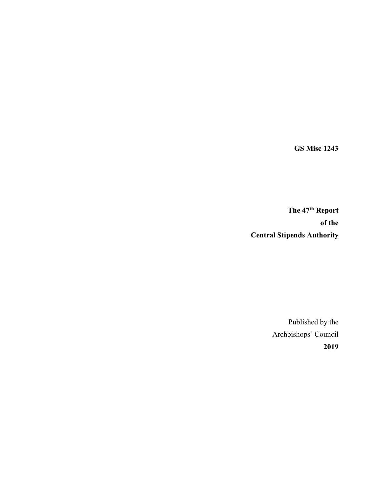**GS Misc 1243**

**The 47th Report of the Central Stipends Authority**

> Published by the Archbishops' Council **2019**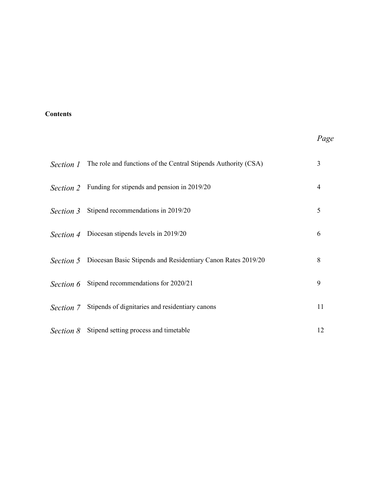# **Contents**

# *Page*

| Section 1        | The role and functions of the Central Stipends Authority (CSA) | 3  |
|------------------|----------------------------------------------------------------|----|
|                  | Section 2 Funding for stipends and pension in 2019/20          | 4  |
| Section 3        | Stipend recommendations in 2019/20                             | 5  |
| Section 4        | Diocesan stipends levels in 2019/20                            | 6  |
| <i>Section 5</i> | Diocesan Basic Stipends and Residentiary Canon Rates 2019/20   | 8  |
| Section 6        | Stipend recommendations for 2020/21                            | 9  |
| Section 7        | Stipends of dignitaries and residentiary canons                | 11 |
| Section 8        | Stipend setting process and timetable                          | 12 |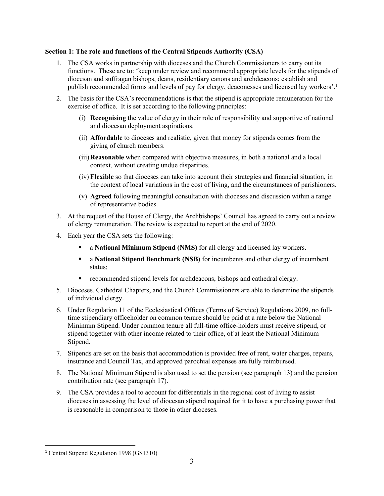## **Section 1: The role and functions of the Central Stipends Authority (CSA)**

- 1. The CSA works in partnership with dioceses and the Church Commissioners to carry out its functions. These are to: 'keep under review and recommend appropriate levels for the stipends of diocesan and suffragan bishops, deans, residentiary canons and archdeacons; establish and publish recommended forms and levels of pay for clergy, deaconesses and licensed lay workers'.[1](#page-2-0)
- 2. The basis for the CSA's recommendations is that the stipend is appropriate remuneration for the exercise of office. It is set according to the following principles:
	- (i) **Recognising** the value of clergy in their role of responsibility and supportive of national and diocesan deployment aspirations.
	- (ii) **Affordable** to dioceses and realistic, given that money for stipends comes from the giving of church members.
	- (iii)**Reasonable** when compared with objective measures, in both a national and a local context, without creating undue disparities.
	- (iv) **Flexible** so that dioceses can take into account their strategies and financial situation, in the context of local variations in the cost of living, and the circumstances of parishioners.
	- (v) **Agreed** following meaningful consultation with dioceses and discussion within a range of representative bodies.
- 3. At the request of the House of Clergy, the Archbishops' Council has agreed to carry out a review of clergy remuneration. The review is expected to report at the end of 2020.
- 4. Each year the CSA sets the following:
	- a **National Minimum Stipend (NMS)** for all clergy and licensed lay workers.
	- a **National Stipend Benchmark (NSB)** for incumbents and other clergy of incumbent status;
	- recommended stipend levels for archdeacons, bishops and cathedral clergy.
- 5. Dioceses, Cathedral Chapters, and the Church Commissioners are able to determine the stipends of individual clergy.
- 6. Under Regulation 11 of the Ecclesiastical Offices (Terms of Service) Regulations 2009, no fulltime stipendiary officeholder on common tenure should be paid at a rate below the National Minimum Stipend. Under common tenure all full-time office-holders must receive stipend, or stipend together with other income related to their office, of at least the National Minimum Stipend.
- 7. Stipends are set on the basis that accommodation is provided free of rent, water charges, repairs, insurance and Council Tax, and approved parochial expenses are fully reimbursed.
- 8. The National Minimum Stipend is also used to set the pension (see paragraph 13) and the pension contribution rate (see paragraph 17).
- 9. The CSA provides a tool to account for differentials in the regional cost of living to assist dioceses in assessing the level of diocesan stipend required for it to have a purchasing power that is reasonable in comparison to those in other dioceses.

<span id="page-2-0"></span><sup>1</sup> Central Stipend Regulation 1998 (GS1310)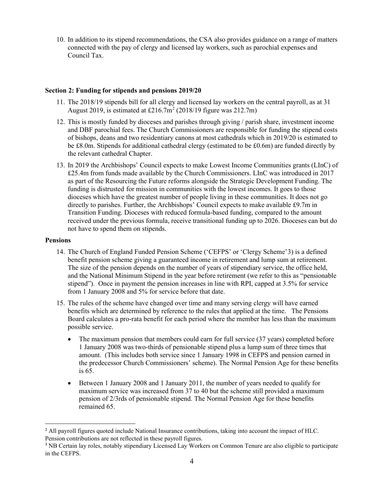10. In addition to its stipend recommendations, the CSA also provides guidance on a range of matters connected with the pay of clergy and licensed lay workers, such as parochial expenses and Council Tax.

### **Section 2: Funding for stipends and pensions 2019/20**

- 11. The 2018/19 stipends bill for all clergy and licensed lay workers on the central payroll, as at 31 August [2](#page-3-0)019, is estimated at  $£216.7m<sup>2</sup> (2018/19)$  figure was 212.7m)
- 12. This is mostly funded by dioceses and parishes through giving / parish share, investment income and DBF parochial fees. The Church Commissioners are responsible for funding the stipend costs of bishops, deans and two residentiary canons at most cathedrals which in 2019/20 is estimated to be £8.0m. Stipends for additional cathedral clergy (estimated to be £0.6m) are funded directly by the relevant cathedral Chapter.
- 13. In 2019 the Archbishops' Council expects to make Lowest Income Communities grants (LInC) of £25.4m from funds made available by the Church Commissioners. LInC was introduced in 2017 as part of the Resourcing the Future reforms alongside the Strategic Development Funding. The funding is distrusted for mission in communities with the lowest incomes. It goes to those dioceses which have the greatest number of people living in these communities. It does not go directly to parishes. Further, the Archbishops' Council expects to make available £9.7m in Transition Funding. Dioceses with reduced formula-based funding, compared to the amount received under the previous formula, receive transitional funding up to 2026. Dioceses can but do not have to spend them on stipends.

### **Pensions**

- 14. The Church of England Funded Pension Scheme ('CEFPS' or 'Clergy Scheme'[3](#page-3-1)) is a defined benefit pension scheme giving a guaranteed income in retirement and lump sum at retirement. The size of the pension depends on the number of years of stipendiary service, the office held, and the National Minimum Stipend in the year before retirement (we refer to this as "pensionable stipend"). Once in payment the pension increases in line with RPI, capped at 3.5% for service from 1 January 2008 and 5% for service before that date.
- 15. The rules of the scheme have changed over time and many serving clergy will have earned benefits which are determined by reference to the rules that applied at the time. The Pensions Board calculates a pro-rata benefit for each period where the member has less than the maximum possible service.
	- The maximum pension that members could earn for full service (37 years) completed before 1 January 2008 was two-thirds of pensionable stipend plus a lump sum of three times that amount. (This includes both service since 1 January 1998 in CEFPS and pension earned in the predecessor Church Commissioners' scheme). The Normal Pension Age for these benefits is 65.
	- Between 1 January 2008 and 1 January 2011, the number of years needed to qualify for maximum service was increased from 37 to 40 but the scheme still provided a maximum pension of 2/3rds of pensionable stipend. The Normal Pension Age for these benefits remained 65.

<span id="page-3-0"></span><sup>&</sup>lt;sup>2</sup> All payroll figures quoted include National Insurance contributions, taking into account the impact of HLC. Pension contributions are not reflected in these payroll figures.

<span id="page-3-1"></span><sup>&</sup>lt;sup>3</sup> NB Certain lay roles, notably stipendiary Licensed Lay Workers on Common Tenure are also eligible to participate in the CEFPS.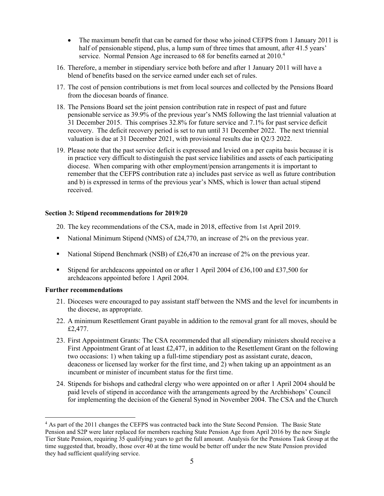- The maximum benefit that can be earned for those who joined CEFPS from 1 January 2011 is half of pensionable stipend, plus, a lump sum of three times that amount, after 41.5 years' service. Normal Pension Age increased to 68 for benefits earned at 2010.<sup>[4](#page-4-0)</sup>
- 16. Therefore, a member in stipendiary service both before and after 1 January 2011 will have a blend of benefits based on the service earned under each set of rules.
- 17. The cost of pension contributions is met from local sources and collected by the Pensions Board from the diocesan boards of finance.
- 18. The Pensions Board set the joint pension contribution rate in respect of past and future pensionable service as 39.9% of the previous year's NMS following the last triennial valuation at 31 December 2015. This comprises 32.8% for future service and 7.1% for past service deficit recovery. The deficit recovery period is set to run until 31 December 2022. The next triennial valuation is due at 31 December 2021, with provisional results due in Q2/3 2022.
- 19. Please note that the past service deficit is expressed and levied on a per capita basis because it is in practice very difficult to distinguish the past service liabilities and assets of each participating diocese. When comparing with other employment/pension arrangements it is important to remember that the CEFPS contribution rate a) includes past service as well as future contribution and b) is expressed in terms of the previous year's NMS, which is lower than actual stipend received.

### **Section 3: Stipend recommendations for 2019/20**

- 20. The key recommendations of the CSA, made in 2018, effective from 1st April 2019.
- National Minimum Stipend (NMS) of £24,770, an increase of 2% on the previous year.
- National Stipend Benchmark (NSB) of  $£26,470$  an increase of 2% on the previous year.
- Stipend for archdeacons appointed on or after 1 April 2004 of £36,100 and £37,500 for archdeacons appointed before 1 April 2004.

#### **Further recommendations**

- 21. Dioceses were encouraged to pay assistant staff between the NMS and the level for incumbents in the diocese, as appropriate.
- 22. A minimum Resettlement Grant payable in addition to the removal grant for all moves, should be £2,477.
- 23. First Appointment Grants: The CSA recommended that all stipendiary ministers should receive a First Appointment Grant of at least £2,477, in addition to the Resettlement Grant on the following two occasions: 1) when taking up a full-time stipendiary post as assistant curate, deacon, deaconess or licensed lay worker for the first time, and 2) when taking up an appointment as an incumbent or minister of incumbent status for the first time.
- 24. Stipends for bishops and cathedral clergy who were appointed on or after 1 April 2004 should be paid levels of stipend in accordance with the arrangements agreed by the Archbishops' Council for implementing the decision of the General Synod in November 2004. The CSA and the Church

<span id="page-4-0"></span><sup>&</sup>lt;sup>4</sup> As part of the 2011 changes the CEFPS was contracted back into the State Second Pension. The Basic State Pension and S2P were later replaced for members reaching State Pension Age from April 2016 by the new Single Tier State Pension, requiring 35 qualifying years to get the full amount. Analysis for the Pensions Task Group at the time suggested that, broadly, those over 40 at the time would be better off under the new State Pension provided they had sufficient qualifying service.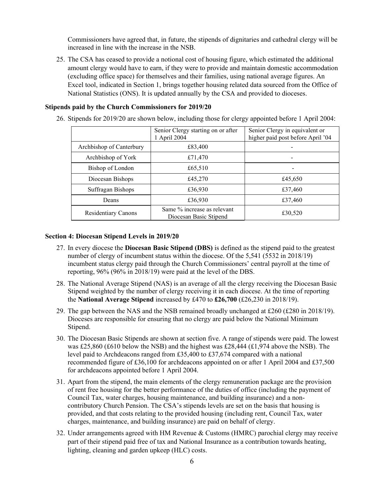Commissioners have agreed that, in future, the stipends of dignitaries and cathedral clergy will be increased in line with the increase in the NSB.

25. The CSA has ceased to provide a notional cost of housing figure, which estimated the additional amount clergy would have to earn, if they were to provide and maintain domestic accommodation (excluding office space) for themselves and their families, using national average figures. An Excel tool, indicated in Section 1, brings together housing related data sourced from the Office of National Statistics (ONS). It is updated annually by the CSA and provided to dioceses.

### **Stipends paid by the Church Commissioners for 2019/20**

26. Stipends for 2019/20 are shown below, including those for clergy appointed before 1 April 2004:

|                            | Senior Clergy starting on or after<br>1 April 2004    | Senior Clergy in equivalent or<br>higher paid post before April '04 |
|----------------------------|-------------------------------------------------------|---------------------------------------------------------------------|
| Archbishop of Canterbury   | £83,400                                               |                                                                     |
| Archbishop of York         | £71,470                                               |                                                                     |
| Bishop of London           | £65,510                                               |                                                                     |
| Diocesan Bishops           | £45,270                                               | £45,650                                                             |
| Suffragan Bishops          | £36,930                                               | £37,460                                                             |
| Deans                      | £36,930                                               | £37,460                                                             |
| <b>Residentiary Canons</b> | Same % increase as relevant<br>Diocesan Basic Stipend | £30,520                                                             |

#### **Section 4: Diocesan Stipend Levels in 2019/20**

- 27. In every diocese the **Diocesan Basic Stipend (DBS)** is defined as the stipend paid to the greatest number of clergy of incumbent status within the diocese. Of the 5,541 (5532 in 2018/19) incumbent status clergy paid through the Church Commissioners' central payroll at the time of reporting, 96% (96% in 2018/19) were paid at the level of the DBS.
- 28. The National Average Stipend (NAS) is an average of all the clergy receiving the Diocesan Basic Stipend weighted by the number of clergy receiving it in each diocese. At the time of reporting the **National Average Stipend** increased by £470 to **£26,700** (£26,230 in 2018/19).
- 29. The gap between the NAS and the NSB remained broadly unchanged at £260 (£280 in 2018/19). Dioceses are responsible for ensuring that no clergy are paid below the National Minimum Stipend.
- 30. The Diocesan Basic Stipends are shown at section five. A range of stipends were paid. The lowest was £25,860 (£610 below the NSB) and the highest was £28,444 (£1,974 above the NSB). The level paid to Archdeacons ranged from £35,400 to £37,674 compared with a national recommended figure of £36,100 for archdeacons appointed on or after 1 April 2004 and £37,500 for archdeacons appointed before 1 April 2004.
- 31. Apart from the stipend, the main elements of the clergy remuneration package are the provision of rent free housing for the better performance of the duties of office (including the payment of Council Tax, water charges, housing maintenance, and building insurance) and a noncontributory Church Pension. The CSA's stipends levels are set on the basis that housing is provided, and that costs relating to the provided housing (including rent, Council Tax, water charges, maintenance, and building insurance) are paid on behalf of clergy.
- 32. Under arrangements agreed with HM Revenue & Customs (HMRC) parochial clergy may receive part of their stipend paid free of tax and National Insurance as a contribution towards heating, lighting, cleaning and garden upkeep (HLC) costs.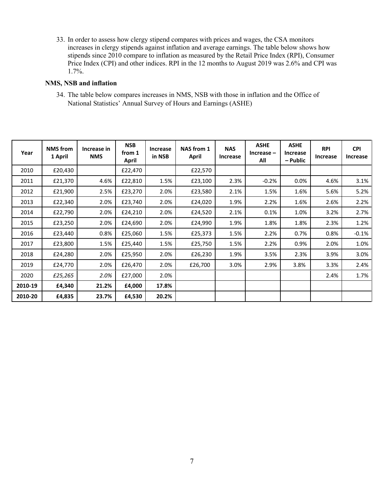33. In order to assess how clergy stipend compares with prices and wages, the CSA monitors increases in clergy stipends against inflation and average earnings. The table below shows how stipends since 2010 compare to inflation as measured by the Retail Price Index (RPI), Consumer Price Index (CPI) and other indices. RPI in the 12 months to August 2019 was 2.6% and CPI was 1.7%.

# **NMS, NSB and inflation**

34. The table below compares increases in NMS, NSB with those in inflation and the Office of National Statistics' Annual Survey of Hours and Earnings (ASHE)

| Year    | <b>NMS</b> from<br>1 April | Increase in<br><b>NMS</b> | <b>NSB</b><br>from 1<br>April | Increase<br>in NSB | NAS from 1<br>April | <b>NAS</b><br>Increase | <b>ASHE</b><br>$Increase -$<br>All | <b>ASHE</b><br><b>Increase</b><br>– Public | <b>RPI</b><br>Increase | <b>CPI</b><br>Increase |
|---------|----------------------------|---------------------------|-------------------------------|--------------------|---------------------|------------------------|------------------------------------|--------------------------------------------|------------------------|------------------------|
| 2010    | £20,430                    |                           | £22,470                       |                    | £22,570             |                        |                                    |                                            |                        |                        |
| 2011    | £21,370                    | 4.6%                      | £22,810                       | 1.5%               | £23,100             | 2.3%                   | $-0.2%$                            | 0.0%                                       | 4.6%                   | 3.1%                   |
| 2012    | £21,900                    | 2.5%                      | £23,270                       | 2.0%               | £23,580             | 2.1%                   | 1.5%                               | 1.6%                                       | 5.6%                   | 5.2%                   |
| 2013    | £22,340                    | 2.0%                      | £23,740                       | 2.0%               | £24,020             | 1.9%                   | 2.2%                               | 1.6%                                       | 2.6%                   | 2.2%                   |
| 2014    | £22,790                    | 2.0%                      | £24,210                       | 2.0%               | £24,520             | 2.1%                   | 0.1%                               | 1.0%                                       | 3.2%                   | 2.7%                   |
| 2015    | £23,250                    | 2.0%                      | £24,690                       | 2.0%               | £24,990             | 1.9%                   | 1.8%                               | 1.8%                                       | 2.3%                   | 1.2%                   |
| 2016    | £23,440                    | 0.8%                      | £25,060                       | 1.5%               | £25,373             | 1.5%                   | 2.2%                               | 0.7%                                       | 0.8%                   | $-0.1%$                |
| 2017    | £23,800                    | 1.5%                      | £25,440                       | 1.5%               | £25,750             | 1.5%                   | 2.2%                               | 0.9%                                       | 2.0%                   | 1.0%                   |
| 2018    | £24,280                    | 2.0%                      | £25,950                       | 2.0%               | £26,230             | 1.9%                   | 3.5%                               | 2.3%                                       | 3.9%                   | 3.0%                   |
| 2019    | £24,770                    | 2.0%                      | £26,470                       | 2.0%               | £26,700             | 3.0%                   | 2.9%                               | 3.8%                                       | 3.3%                   | 2.4%                   |
| 2020    | £25,265                    | 2.0%                      | £27,000                       | 2.0%               |                     |                        |                                    |                                            | 2.4%                   | 1.7%                   |
| 2010-19 | £4,340                     | 21.2%                     | £4,000                        | 17.8%              |                     |                        |                                    |                                            |                        |                        |
| 2010-20 | £4,835                     | 23.7%                     | £4,530                        | 20.2%              |                     |                        |                                    |                                            |                        |                        |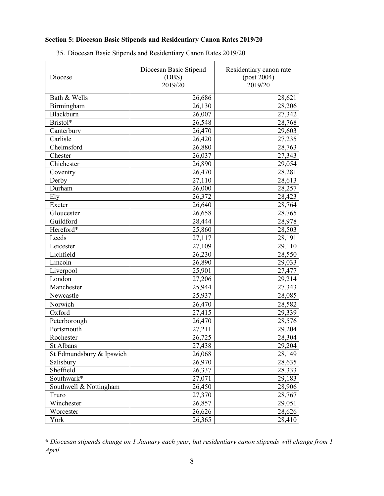# **Section 5: Diocesan Basic Stipends and Residentiary Canon Rates 2019/20**

| Diocese                  | Diocesan Basic Stipend<br>(DBS)<br>2019/20 | Residentiary canon rate<br>(post 2004)<br>2019/20 |
|--------------------------|--------------------------------------------|---------------------------------------------------|
| Bath & Wells             | 26,686                                     | 28,621                                            |
| Birmingham               | 26,130                                     | 28,206                                            |
| Blackburn                | 26,007                                     | 27,342                                            |
| Bristol*                 | 26,548                                     | 28,768                                            |
| Canterbury               | 26,470                                     | 29,603                                            |
| Carlisle                 | 26,420                                     | 27,235                                            |
| Chelmsford               | 26,880                                     | 28,763                                            |
| Chester                  | 26,037                                     | 27,343                                            |
| Chichester               | 26,890                                     | 29,054                                            |
| Coventry                 | 26,470                                     | 28,281                                            |
| Derby                    | 27,110                                     | 28,613                                            |
| Durham                   | 26,000                                     | 28,257                                            |
| Ely                      | 26,372                                     | 28,423                                            |
| Exeter                   | 26,640                                     | 28,764                                            |
| Gloucester               | 26,658                                     | 28,765                                            |
| Guildford                | 28,444                                     | 28,978                                            |
| Hereford*                | 25,860                                     | 28,503                                            |
| Leeds                    | 27,117                                     | 28,191                                            |
| Leicester                | 27,109                                     | 29,110                                            |
| Lichfield                | 26,230                                     | 28,550                                            |
| Lincoln                  | 26,890                                     | 29,033                                            |
| Liverpool                | 25,901                                     | 27,477                                            |
| London                   | 27,206                                     | 29,214                                            |
| Manchester               | 25,944                                     | 27,343                                            |
| Newcastle                | 25,937                                     | 28,085                                            |
| Norwich                  | 26,470                                     | 28,582                                            |
| Oxford                   | 27,415                                     | 29,339                                            |
| Peterborough             | 26,470                                     | 28,576                                            |
| Portsmouth               | 27,211                                     | 29,204                                            |
| Rochester                | 26,725                                     | 28,304                                            |
| St Albans                | 27,438                                     | 29,204                                            |
| St Edmundsbury & Ipswich | 26,068                                     | 28,149                                            |
| Salisbury                | 26,970                                     | 28,635                                            |
| Sheffield                | 26,337                                     | 28,333                                            |
| Southwark*               | 27,071                                     | 29,183                                            |
| Southwell & Nottingham   | 26,450                                     | 28,906                                            |
| Truro                    | 27,370                                     | 28,767                                            |
| Winchester               | 26,857                                     | 29,051                                            |
| Worcester                | 26,626                                     | 28,626                                            |
| York                     | 26,365                                     | 28,410                                            |

35. Diocesan Basic Stipends and Residentiary Canon Rates 2019/20

**\*** *Diocesan stipends change on 1 January each year, but residentiary canon stipends will change from 1 April*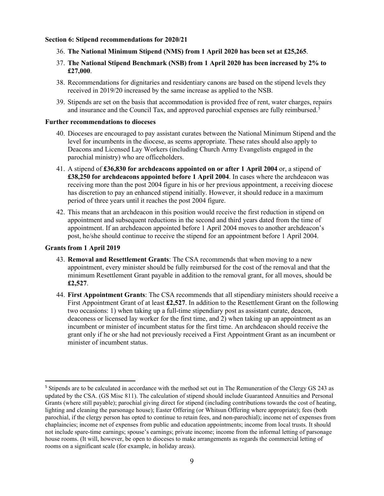### **Section 6: Stipend recommendations for 2020/21**

- 36. **The National Minimum Stipend (NMS) from 1 April 2020 has been set at £25,265**.
- 37. **The National Stipend Benchmark (NSB) from 1 April 2020 has been increased by 2% to £27,000**.
- 38. Recommendations for dignitaries and residentiary canons are based on the stipend levels they received in 2019/20 increased by the same increase as applied to the NSB.
- 39. Stipends are set on the basis that accommodation is provided free of rent, water charges, repairs and insurance and the Council Tax, and approved parochial expenses are fully reimbursed.<sup>[5](#page-8-0)</sup>

#### **Further recommendations to dioceses**

- 40. Dioceses are encouraged to pay assistant curates between the National Minimum Stipend and the level for incumbents in the diocese, as seems appropriate. These rates should also apply to Deacons and Licensed Lay Workers (including Church Army Evangelists engaged in the parochial ministry) who are officeholders.
- 41. A stipend of **£36,830 for archdeacons appointed on or after 1 April 2004** or, a stipend of **£38,250 for archdeacons appointed before 1 April 2004**. In cases where the archdeacon was receiving more than the post 2004 figure in his or her previous appointment, a receiving diocese has discretion to pay an enhanced stipend initially. However, it should reduce in a maximum period of three years until it reaches the post 2004 figure.
- 42. This means that an archdeacon in this position would receive the first reduction in stipend on appointment and subsequent reductions in the second and third years dated from the time of appointment. If an archdeacon appointed before 1 April 2004 moves to another archdeacon's post, he/she should continue to receive the stipend for an appointment before 1 April 2004.

### **Grants from 1 April 2019**

- 43. **Removal and Resettlement Grants**: The CSA recommends that when moving to a new appointment, every minister should be fully reimbursed for the cost of the removal and that the minimum Resettlement Grant payable in addition to the removal grant, for all moves, should be **£2,527**.
- 44. **First Appointment Grants**: The CSA recommends that all stipendiary ministers should receive a First Appointment Grant of at least **£2,527**. In addition to the Resettlement Grant on the following two occasions: 1) when taking up a full-time stipendiary post as assistant curate, deacon, deaconess or licensed lay worker for the first time, and 2) when taking up an appointment as an incumbent or minister of incumbent status for the first time. An archdeacon should receive the grant only if he or she had not previously received a First Appointment Grant as an incumbent or minister of incumbent status.

<span id="page-8-0"></span><sup>5</sup> Stipends are to be calculated in accordance with the method set out in The Remuneration of the Clergy GS 243 as updated by the CSA. (GS Misc 811). The calculation of stipend should include Guaranteed Annuities and Personal Grants (where still payable); parochial giving direct for stipend (including contributions towards the cost of heating, lighting and cleaning the parsonage house); Easter Offering (or Whitsun Offering where appropriate); fees (both parochial, if the clergy person has opted to continue to retain fees, and non-parochial); income net of expenses from chaplaincies; income net of expenses from public and education appointments; income from local trusts. It should not include spare-time earnings; spouse's earnings; private income; income from the informal letting of parsonage house rooms. (It will, however, be open to dioceses to make arrangements as regards the commercial letting of rooms on a significant scale (for example, in holiday areas).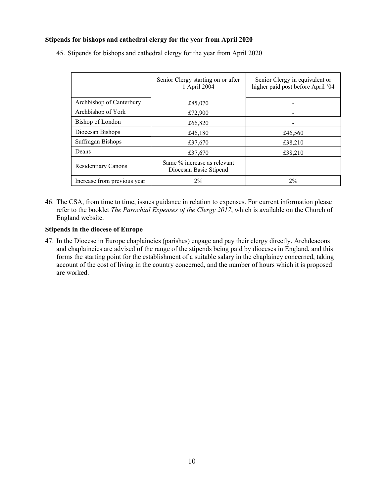# **Stipends for bishops and cathedral clergy for the year from April 2020**

|                             | Senior Clergy starting on or after<br>1 April 2004    | Senior Clergy in equivalent or<br>higher paid post before April '04 |
|-----------------------------|-------------------------------------------------------|---------------------------------------------------------------------|
| Archbishop of Canterbury    | £85,070                                               |                                                                     |
| Archbishop of York          | £72,900                                               |                                                                     |
| Bishop of London            | £66,820                                               |                                                                     |
| Diocesan Bishops            | £46,180                                               | £46,560                                                             |
| Suffragan Bishops           | £37,670                                               | £38,210                                                             |
| Deans                       | £37,670                                               | £38,210                                                             |
| <b>Residentiary Canons</b>  | Same % increase as relevant<br>Diocesan Basic Stipend |                                                                     |
| Increase from previous year | $2\%$                                                 | 2%                                                                  |

45. Stipends for bishops and cathedral clergy for the year from April 2020

46. The CSA, from time to time, issues guidance in relation to expenses. For current information please refer to the booklet *The Parochial Expenses of the Clergy 2017*, which is available on the Church of England website.

### **Stipends in the diocese of Europe**

47. In the Diocese in Europe chaplaincies (parishes) engage and pay their clergy directly. Archdeacons and chaplaincies are advised of the range of the stipends being paid by dioceses in England, and this forms the starting point for the establishment of a suitable salary in the chaplaincy concerned, taking account of the cost of living in the country concerned, and the number of hours which it is proposed are worked.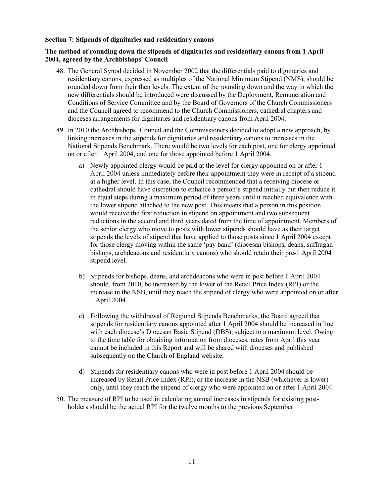### **Section 7: Stipends of dignitaries and residentiary canons**

### **The method of rounding down the stipends of dignitaries and residentiary canons from 1 April 2004, agreed by the Archbishops' Council**

- 48. The General Synod decided in November 2002 that the differentials paid to dignitaries and residentiary canons, expressed as multiples of the National Minimum Stipend (NMS), should be rounded down from their then levels. The extent of the rounding down and the way in which the new differentials should be introduced were discussed by the Deployment, Remuneration and Conditions of Service Committee and by the Board of Governors of the Church Commissioners and the Council agreed to recommend to the Church Commissioners, cathedral chapters and dioceses arrangements for dignitaries and residentiary canons from April 2004.
- 49. In 2010 the Archbishops' Council and the Commissioners decided to adopt a new approach, by linking increases in the stipends for dignitaries and residentiary canons to increases in the National Stipends Benchmark. There would be two levels for each post, one for clergy appointed on or after 1 April 2004, and one for those appointed before 1 April 2004.
	- a) Newly appointed clergy would be paid at the level for clergy appointed on or after 1 April 2004 unless immediately before their appointment they were in receipt of a stipend at a higher level. In this case, the Council recommended that a receiving diocese or cathedral should have discretion to enhance a person's stipend initially but then reduce it in equal steps during a maximum period of three years until it reached equivalence with the lower stipend attached to the new post. This means that a person in this position would receive the first reduction in stipend on appointment and two subsequent reductions in the second and third years dated from the time of appointment. Members of the senior clergy who move to posts with lower stipends should have as their target stipends the levels of stipend that have applied to those posts since 1 April 2004 except for those clergy moving within the same 'pay band' (diocesan bishops, deans, suffragan bishops, archdeacons and residentiary canons) who should retain their pre-1 April 2004 stipend level.
	- b) Stipends for bishops, deans, and archdeacons who were in post before 1 April 2004 should, from 2010, be increased by the lower of the Retail Price Index (RPI) or the increase in the NSB, until they reach the stipend of clergy who were appointed on or after 1 April 2004.
	- c) Following the withdrawal of Regional Stipends Benchmarks, the Board agreed that stipends for residentiary canons appointed after 1 April 2004 should be increased in line with each diocese's Diocesan Basic Stipend (DBS), subject to a maximum level. Owing to the time table for obtaining information from dioceses, rates from April this year cannot be included in this Report and will be shared with dioceses and published subsequently on the Church of England website.
	- d) Stipends for residentiary canons who were in post before 1 April 2004 should be increased by Retail Price Index (RPI), or the increase in the NSB (whichever is lower) only, until they reach the stipend of clergy who were appointed on or after 1 April 2004.
- 50. The measure of RPI to be used in calculating annual increases in stipends for existing postholders should be the actual RPI for the twelve months to the previous September.